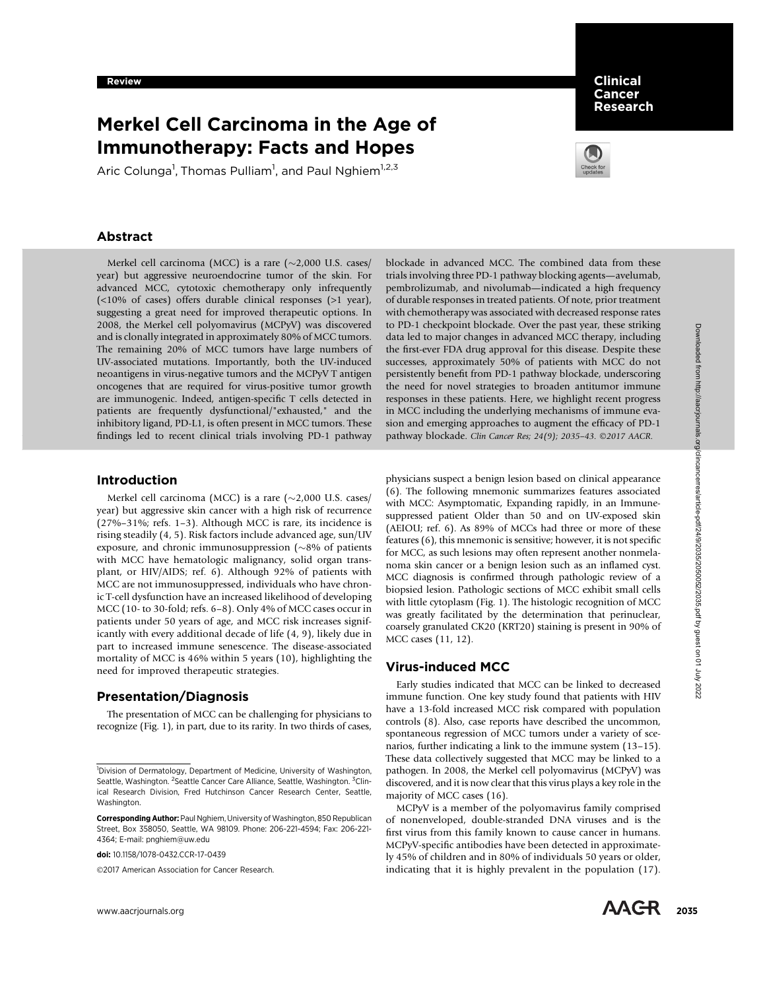# Merkel Cell Carcinoma in the Age of Immunotherapy: Facts and Hopes

Aric Colunga<sup>1</sup>, Thomas Pulliam<sup>1</sup>, and Paul Nghiem<sup>1,2,3</sup>



Clinical Cancer Research

# Abstract

Merkel cell carcinoma (MCC) is a rare  $(\sim 2,000 \text{ U.S. cases})$ year) but aggressive neuroendocrine tumor of the skin. For advanced MCC, cytotoxic chemotherapy only infrequently (<10% of cases) offers durable clinical responses (>1 year), suggesting a great need for improved therapeutic options. In 2008, the Merkel cell polyomavirus (MCPyV) was discovered and is clonally integrated in approximately 80% of MCC tumors. The remaining 20% of MCC tumors have large numbers of UV-associated mutations. Importantly, both the UV-induced neoantigens in virus-negative tumors and the MCPyV T antigen oncogenes that are required for virus-positive tumor growth are immunogenic. Indeed, antigen-specific T cells detected in patients are frequently dysfunctional/"exhausted," and the inhibitory ligand, PD-L1, is often present in MCC tumors. These findings led to recent clinical trials involving PD-1 pathway

## Introduction

Merkel cell carcinoma (MCC) is a rare  $(\sim 2,000 \text{ U.S. cases})$ year) but aggressive skin cancer with a high risk of recurrence (27%–31%; refs. 1–3). Although MCC is rare, its incidence is rising steadily (4, 5). Risk factors include advanced age, sun/UV exposure, and chronic immunosuppression ( $\sim$ 8% of patients with MCC have hematologic malignancy, solid organ transplant, or HIV/AIDS; ref. 6). Although 92% of patients with MCC are not immunosuppressed, individuals who have chronic T-cell dysfunction have an increased likelihood of developing MCC (10- to 30-fold; refs. 6–8). Only 4% of MCC cases occur in patients under 50 years of age, and MCC risk increases significantly with every additional decade of life (4, 9), likely due in part to increased immune senescence. The disease-associated mortality of MCC is 46% within 5 years (10), highlighting the need for improved therapeutic strategies. with the control of the system in the control of the system in the system of the from https://aacricle-paints. The system is a control of the system in the system of the system in the system of the system of the system in

## Presentation/Diagnosis

The presentation of MCC can be challenging for physicians to recognize (Fig. 1), in part, due to its rarity. In two thirds of cases,

doi: 10.1158/1078-0432.CCR-17-0439

©2017 American Association for Cancer Research.

blockade in advanced MCC. The combined data from these trials involving three PD-1 pathway blocking agents—avelumab, pembrolizumab, and nivolumab—indicated a high frequency of durable responses in treated patients. Of note, prior treatment with chemotherapy was associated with decreased response rates to PD-1 checkpoint blockade. Over the past year, these striking data led to major changes in advanced MCC therapy, including the first-ever FDA drug approval for this disease. Despite these successes, approximately 50% of patients with MCC do not persistently benefit from PD-1 pathway blockade, underscoring the need for novel strategies to broaden antitumor immune responses in these patients. Here, we highlight recent progress in MCC including the underlying mechanisms of immune evasion and emerging approaches to augment the efficacy of PD-1 pathway blockade. Clin Cancer Res; 24(9); 2035-43. ©2017 AACR.

physicians suspect a benign lesion based on clinical appearance (6). The following mnemonic summarizes features associated with MCC: Asymptomatic, Expanding rapidly, in an Immunesuppressed patient Older than 50 and on UV-exposed skin (AEIOU; ref. 6). As 89% of MCCs had three or more of these features (6), this mnemonic is sensitive; however, it is not specific for MCC, as such lesions may often represent another nonmelanoma skin cancer or a benign lesion such as an inflamed cyst. MCC diagnosis is confirmed through pathologic review of a biopsied lesion. Pathologic sections of MCC exhibit small cells with little cytoplasm (Fig. 1). The histologic recognition of MCC was greatly facilitated by the determination that perinuclear, coarsely granulated CK20 (KRT20) staining is present in 90% of MCC cases (11, 12).

### Virus-induced MCC

Early studies indicated that MCC can be linked to decreased immune function. One key study found that patients with HIV have a 13-fold increased MCC risk compared with population controls (8). Also, case reports have described the uncommon, spontaneous regression of MCC tumors under a variety of scenarios, further indicating a link to the immune system (13–15). These data collectively suggested that MCC may be linked to a pathogen. In 2008, the Merkel cell polyomavirus (MCPyV) was discovered, and it is now clear that this virus plays a key role in the majority of MCC cases (16).

MCPyV is a member of the polyomavirus family comprised of nonenveloped, double-stranded DNA viruses and is the first virus from this family known to cause cancer in humans. MCPyV-specific antibodies have been detected in approximately 45% of children and in 80% of individuals 50 years or older, indicating that it is highly prevalent in the population (17).

<sup>&</sup>lt;sup>1</sup>Division of Dermatology, Department of Medicine, University of Washington, Seattle, Washington. <sup>2</sup> Seattle Cancer Care Alliance, Seattle, Washington. <sup>3</sup> Clinical Research Division, Fred Hutchinson Cancer Research Center, Seattle, Washington.

Corresponding Author: Paul Nghiem, University of Washington, 850 Republican Street, Box 358050, Seattle, WA 98109. Phone: 206-221-4594; Fax: 206-221- 4364; E-mail: pnghiem@uw.edu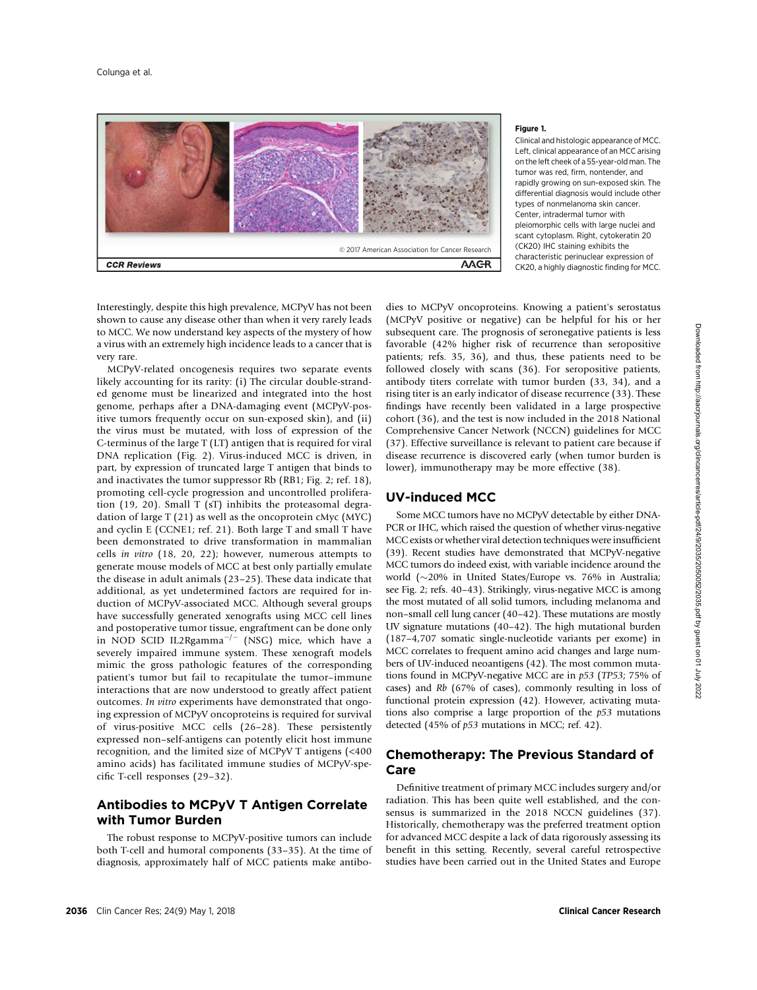

#### Figure 1.

Clinical and histologic appearance of MCC. Left, clinical appearance of an MCC arising on the left cheek of a 55-year-old man. The tumor was red, firm, nontender, and rapidly growing on sun-exposed skin. The differential diagnosis would include other types of nonmelanoma skin cancer. Center, intradermal tumor with pleiomorphic cells with large nuclei and scant cytoplasm. Right, cytokeratin 20 (CK20) IHC staining exhibits the characteristic perinuclear expression of CK20, a highly diagnostic finding for MCC.

Interestingly, despite this high prevalence, MCPyV has not been shown to cause any disease other than when it very rarely leads to MCC. We now understand key aspects of the mystery of how a virus with an extremely high incidence leads to a cancer that is very rare.

MCPyV-related oncogenesis requires two separate events likely accounting for its rarity: (i) The circular double-stranded genome must be linearized and integrated into the host genome, perhaps after a DNA-damaging event (MCPyV-positive tumors frequently occur on sun-exposed skin), and (ii) the virus must be mutated, with loss of expression of the C-terminus of the large T (LT) antigen that is required for viral DNA replication (Fig. 2). Virus-induced MCC is driven, in part, by expression of truncated large T antigen that binds to and inactivates the tumor suppressor Rb (RB1; Fig. 2; ref. 18), promoting cell-cycle progression and uncontrolled proliferation (19, 20). Small T (sT) inhibits the proteasomal degradation of large T (21) as well as the oncoprotein cMyc (MYC) and cyclin E (CCNE1; ref. 21). Both large T and small T have been demonstrated to drive transformation in mammalian cells in vitro (18, 20, 22); however, numerous attempts to generate mouse models of MCC at best only partially emulate the disease in adult animals (23–25). These data indicate that additional, as yet undetermined factors are required for induction of MCPyV-associated MCC. Although several groups have successfully generated xenografts using MCC cell lines and postoperative tumor tissue, engraftment can be done only in NOD SCID IL2Rgamma<sup> $-/-$ </sup> (NSG) mice, which have a severely impaired immune system. These xenograft models mimic the gross pathologic features of the corresponding patient's tumor but fail to recapitulate the tumor–immune interactions that are now understood to greatly affect patient outcomes. In vitro experiments have demonstrated that ongoing expression of MCPyV oncoproteins is required for survival of virus-positive MCC cells (26–28). These persistently expressed non–self-antigens can potently elicit host immune recognition, and the limited size of MCPyV T antigens (<400 amino acids) has facilitated immune studies of MCPyV-specific T-cell responses (29–32).

# Antibodies to MCPyV T Antigen Correlate with Tumor Burden

The robust response to MCPyV-positive tumors can include both T-cell and humoral components (33–35). At the time of diagnosis, approximately half of MCC patients make antibodies to MCPyV oncoproteins. Knowing a patient's serostatus (MCPyV positive or negative) can be helpful for his or her subsequent care. The prognosis of seronegative patients is less favorable (42% higher risk of recurrence than seropositive patients; refs. 35, 36), and thus, these patients need to be followed closely with scans (36). For seropositive patients, antibody titers correlate with tumor burden (33, 34), and a rising titer is an early indicator of disease recurrence (33). These findings have recently been validated in a large prospective cohort (36), and the test is now included in the 2018 National Comprehensive Cancer Network (NCCN) guidelines for MCC (37). Effective surveillance is relevant to patient care because if disease recurrence is discovered early (when tumor burden is lower), immunotherapy may be more effective (38).

## UV-induced MCC

Some MCC tumors have no MCPyV detectable by either DNA-PCR or IHC, which raised the question of whether virus-negative MCC exists or whether viral detection techniques were insufficient (39). Recent studies have demonstrated that MCPyV-negative MCC tumors do indeed exist, with variable incidence around the world  $(\sim 20\%$  in United States/Europe vs. 76% in Australia; see Fig. 2; refs. 40–43). Strikingly, virus-negative MCC is among the most mutated of all solid tumors, including melanoma and non–small cell lung cancer (40–42). These mutations are mostly UV signature mutations (40–42). The high mutational burden (187–4,707 somatic single-nucleotide variants per exome) in MCC correlates to frequent amino acid changes and large numbers of UV-induced neoantigens (42). The most common mutations found in MCPyV-negative MCC are in p53 (TP53; 75% of cases) and Rb (67% of cases), commonly resulting in loss of functional protein expression (42). However, activating mutations also comprise a large proportion of the  $p53$  mutations detected (45% of p53 mutations in MCC; ref. 42).

# Chemotherapy: The Previous Standard of Care

Definitive treatment of primary MCC includes surgery and/or radiation. This has been quite well established, and the consensus is summarized in the 2018 NCCN guidelines (37). Historically, chemotherapy was the preferred treatment option for advanced MCC despite a lack of data rigorously assessing its benefit in this setting. Recently, several careful retrospective studies have been carried out in the United States and Europe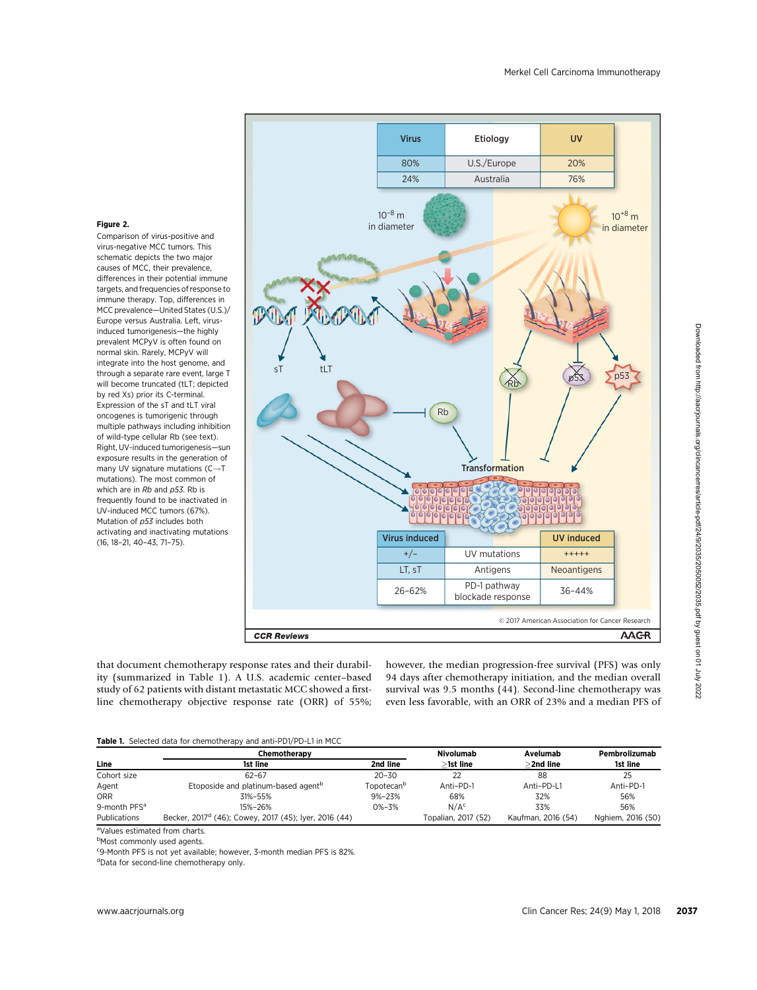

#### Figure 2.

Comparison of virus-positive and virus-negative MCC tumors. This schematic depicts the two major causes of MCC, their prevalence, differences in their potential immune targets, and frequencies of response to immune therapy. Top, differences in MCC prevalence—United States (U.S.)/ Europe versus Australia. Left, virusinduced tumorigenesis—the highly prevalent MCPyV is often found on normal skin. Rarely, MCPyV will integrate into the host genome, and through a separate rare event, large T will become truncated (tLT; depicted by red Xs) prior its C-terminal. Expression of the sT and tLT viral oncogenes is tumorigenic through multiple pathways including inhibition of wild-type cellular Rb (see text). Right, UV-induced tumorigenesis—sun exposure results in the generation of many UV signature mutations  $(C \rightarrow T)$ mutations). The most common of which are in  $Rb$  and  $p53$ . Rb is frequently found to be inactivated in UV-induced MCC tumors (67%). Mutation of p53 includes both activating and inactivating mutations (16, 18–21, 40–43, 71–75).

that document chemotherapy response rates and their durability (summarized in Table 1). A U.S. academic center–based study of 62 patients with distant metastatic MCC showed a firstline chemotherapy objective response rate (ORR) of 55%; however, the median progression-free survival (PFS) was only 94 days after chemotherapy initiation, and the median overall survival was 9.5 months (44). Second-line chemotherapy was even less favorable, with an ORR of 23% and a median PFS of

#### Table 1. Selected data for chemotherapy and anti-PD1/PD-L1 in MCC

|                          | Chemotherapy                                                      | Nivolumab              | Avelumab            | Pembrolizumab      |                   |
|--------------------------|-------------------------------------------------------------------|------------------------|---------------------|--------------------|-------------------|
| Line                     | 1st line                                                          | 2nd line               | >1st line           | >2nd line          | 1st line          |
| Cohort size              | $62 - 67$                                                         | $20 - 30$              |                     | 88                 | 25                |
| Agent                    | Etoposide and platinum-based agent <sup>b</sup>                   | Topotecan <sup>b</sup> | Anti-PD-1           | Anti-PD-L1         | Anti-PD-1         |
| <b>ORR</b>               | 31%-55%                                                           | $9\% - 23\%$           | 68%                 | 32%                | 56%               |
| 9-month PFS <sup>a</sup> | 15%-26%                                                           | $0\% - 3\%$            | N/A <sup>c</sup>    | 33%                | 56%               |
| Publications             | Becker, 2017 <sup>d</sup> (46); Cowey, 2017 (45); Iyer, 2016 (44) |                        | Topalian, 2017 (52) | Kaufman, 2016 (54) | Nghiem, 2016 (50) |

aValues estimated from charts.

**b**Most commonly used agents.

<sup>c</sup>9-Month PFS is not yet available; however, 3-month median PFS is 82%.

dData for second-line chemotherapy only.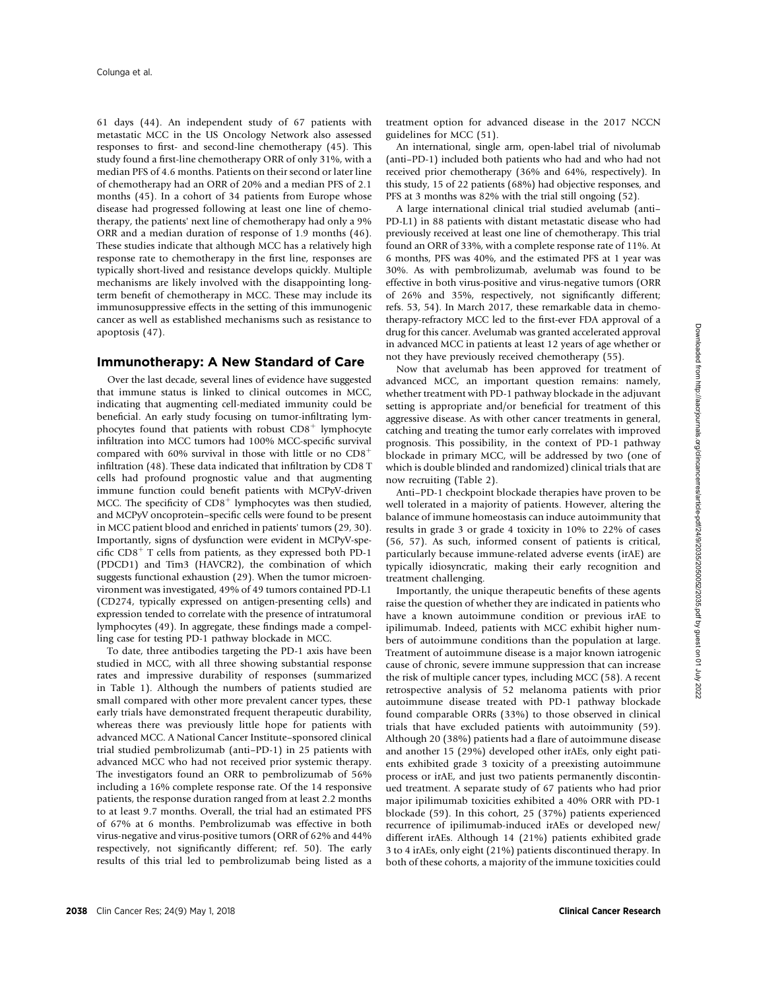61 days (44). An independent study of 67 patients with metastatic MCC in the US Oncology Network also assessed responses to first- and second-line chemotherapy (45). This study found a first-line chemotherapy ORR of only 31%, with a median PFS of 4.6 months. Patients on their second or later line of chemotherapy had an ORR of 20% and a median PFS of 2.1 months (45). In a cohort of 34 patients from Europe whose disease had progressed following at least one line of chemotherapy, the patients' next line of chemotherapy had only a 9% ORR and a median duration of response of 1.9 months (46). These studies indicate that although MCC has a relatively high response rate to chemotherapy in the first line, responses are typically short-lived and resistance develops quickly. Multiple mechanisms are likely involved with the disappointing longterm benefit of chemotherapy in MCC. These may include its immunosuppressive effects in the setting of this immunogenic cancer as well as established mechanisms such as resistance to apoptosis (47).

#### Immunotherapy: A New Standard of Care

Over the last decade, several lines of evidence have suggested that immune status is linked to clinical outcomes in MCC, indicating that augmenting cell-mediated immunity could be beneficial. An early study focusing on tumor-infiltrating lymphocytes found that patients with robust  $CD8<sup>+</sup>$  lymphocyte infiltration into MCC tumors had 100% MCC-specific survival compared with 60% survival in those with little or no  $CD8<sup>+</sup>$ infiltration (48). These data indicated that infiltration by CD8 T cells had profound prognostic value and that augmenting immune function could benefit patients with MCPyV-driven MCC. The specificity of  $CD8<sup>+</sup>$  lymphocytes was then studied, and MCPyV oncoprotein–specific cells were found to be present in MCC patient blood and enriched in patients' tumors (29, 30). Importantly, signs of dysfunction were evident in MCPyV-specific  $CD8<sup>+</sup>$  T cells from patients, as they expressed both PD-1 (PDCD1) and Tim3 (HAVCR2), the combination of which suggests functional exhaustion (29). When the tumor microenvironment was investigated, 49% of 49 tumors contained PD-L1 (CD274, typically expressed on antigen-presenting cells) and expression tended to correlate with the presence of intratumoral lymphocytes (49). In aggregate, these findings made a compelling case for testing PD-1 pathway blockade in MCC.

To date, three antibodies targeting the PD-1 axis have been studied in MCC, with all three showing substantial response rates and impressive durability of responses (summarized in Table 1). Although the numbers of patients studied are small compared with other more prevalent cancer types, these early trials have demonstrated frequent therapeutic durability, whereas there was previously little hope for patients with advanced MCC. A National Cancer Institute–sponsored clinical trial studied pembrolizumab (anti–PD-1) in 25 patients with advanced MCC who had not received prior systemic therapy. The investigators found an ORR to pembrolizumab of 56% including a 16% complete response rate. Of the 14 responsive patients, the response duration ranged from at least 2.2 months to at least 9.7 months. Overall, the trial had an estimated PFS of 67% at 6 months. Pembrolizumab was effective in both virus-negative and virus-positive tumors (ORR of 62% and 44% respectively, not significantly different; ref. 50). The early results of this trial led to pembrolizumab being listed as a treatment option for advanced disease in the 2017 NCCN guidelines for MCC (51).

An international, single arm, open-label trial of nivolumab (anti–PD-1) included both patients who had and who had not received prior chemotherapy (36% and 64%, respectively). In this study, 15 of 22 patients (68%) had objective responses, and PFS at 3 months was 82% with the trial still ongoing (52).

A large international clinical trial studied avelumab (anti– PD-L1) in 88 patients with distant metastatic disease who had previously received at least one line of chemotherapy. This trial found an ORR of 33%, with a complete response rate of 11%. At 6 months, PFS was 40%, and the estimated PFS at 1 year was 30%. As with pembrolizumab, avelumab was found to be effective in both virus-positive and virus-negative tumors (ORR of 26% and 35%, respectively, not significantly different; refs. 53, 54). In March 2017, these remarkable data in chemotherapy-refractory MCC led to the first-ever FDA approval of a drug for this cancer. Avelumab was granted accelerated approval in advanced MCC in patients at least 12 years of age whether or not they have previously received chemotherapy (55).

Now that avelumab has been approved for treatment of advanced MCC, an important question remains: namely, whether treatment with PD-1 pathway blockade in the adjuvant setting is appropriate and/or beneficial for treatment of this aggressive disease. As with other cancer treatments in general, catching and treating the tumor early correlates with improved prognosis. This possibility, in the context of PD-1 pathway blockade in primary MCC, will be addressed by two (one of which is double blinded and randomized) clinical trials that are now recruiting (Table 2).

Anti–PD-1 checkpoint blockade therapies have proven to be well tolerated in a majority of patients. However, altering the balance of immune homeostasis can induce autoimmunity that results in grade 3 or grade 4 toxicity in 10% to 22% of cases (56, 57). As such, informed consent of patients is critical, particularly because immune-related adverse events (irAE) are typically idiosyncratic, making their early recognition and treatment challenging.

Importantly, the unique therapeutic benefits of these agents raise the question of whether they are indicated in patients who have a known autoimmune condition or previous irAE to ipilimumab. Indeed, patients with MCC exhibit higher numbers of autoimmune conditions than the population at large. Treatment of autoimmune disease is a major known iatrogenic cause of chronic, severe immune suppression that can increase the risk of multiple cancer types, including MCC (58). A recent retrospective analysis of 52 melanoma patients with prior autoimmune disease treated with PD-1 pathway blockade found comparable ORRs (33%) to those observed in clinical trials that have excluded patients with autoimmunity (59). Although 20 (38%) patients had a flare of autoimmune disease and another 15 (29%) developed other irAEs, only eight patients exhibited grade 3 toxicity of a preexisting autoimmune process or irAE, and just two patients permanently discontinued treatment. A separate study of 67 patients who had prior major ipilimumab toxicities exhibited a 40% ORR with PD-1 blockade (59). In this cohort, 25 (37%) patients experienced recurrence of ipilimumab-induced irAEs or developed new/ different irAEs. Although 14 (21%) patients exhibited grade 3 to 4 irAEs, only eight (21%) patients discontinued therapy. In both of these cohorts, a majority of the immune toxicities could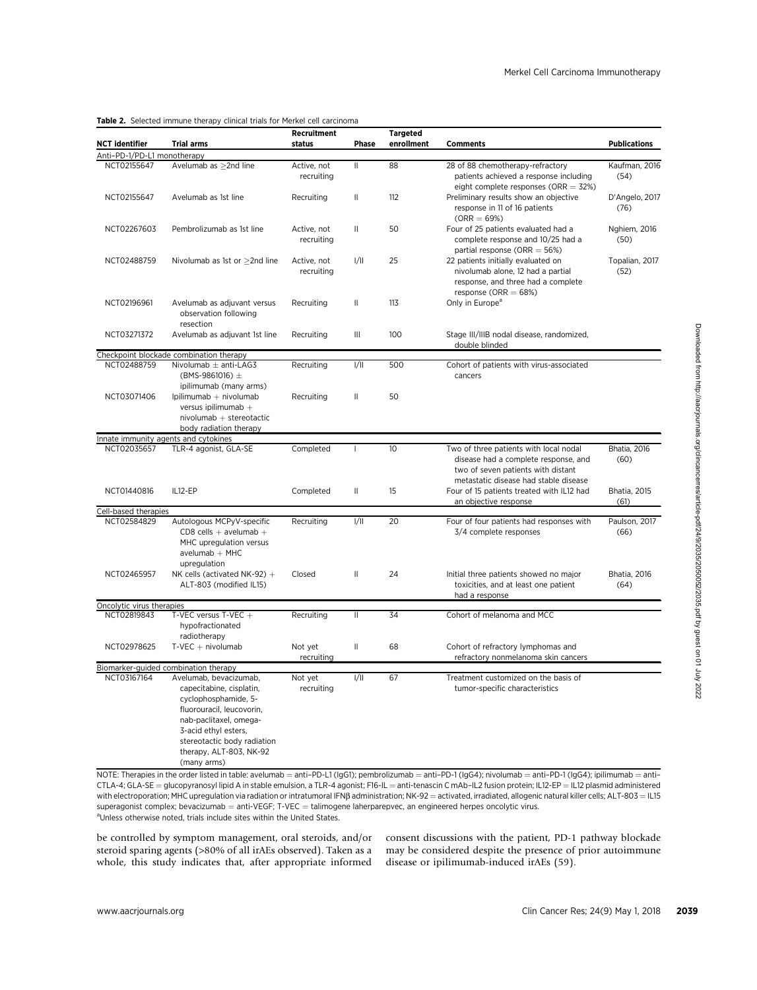## Table 2. Selected immune therapy clinical trials for Merkel cell carcinoma

| NCT identifier                             | <b>Trial arms</b>                                                                                                                                                                                             | Recruitment<br>status<br>Phase                                         |      | <b>Targeted</b><br>enrollment | <b>Comments</b>                                                                                                                                                                                                                                                                                                                                                                                                                                                                                                | <b>Publications</b>         |
|--------------------------------------------|---------------------------------------------------------------------------------------------------------------------------------------------------------------------------------------------------------------|------------------------------------------------------------------------|------|-------------------------------|----------------------------------------------------------------------------------------------------------------------------------------------------------------------------------------------------------------------------------------------------------------------------------------------------------------------------------------------------------------------------------------------------------------------------------------------------------------------------------------------------------------|-----------------------------|
| Anti-PD-1/PD-L1 monotherapy<br>NCT02155647 | Avelumab as >2nd line                                                                                                                                                                                         | 88<br>$\mathbf{II}$<br>28 of 88 chemotherapy-refractory<br>Active, not |      | Kaufman, 2016                 |                                                                                                                                                                                                                                                                                                                                                                                                                                                                                                                |                             |
|                                            |                                                                                                                                                                                                               | recruiting                                                             |      |                               | patients achieved a response including<br>eight complete responses (ORR $=$ 32%)                                                                                                                                                                                                                                                                                                                                                                                                                               | (54)                        |
| NCT02155647                                | Avelumab as 1st line                                                                                                                                                                                          | Recruiting                                                             | Ш    | 112                           | Preliminary results show an objective<br>response in 11 of 16 patients<br>$(ORR = 69%)$                                                                                                                                                                                                                                                                                                                                                                                                                        | D'Angelo, 2017<br>(76)      |
| NCT02267603                                | Pembrolizumab as 1st line                                                                                                                                                                                     | Active, not<br>recruiting                                              | Ш    | 50                            | Four of 25 patients evaluated had a<br>complete response and 10/25 had a<br>partial response (ORR $=$ 56%)                                                                                                                                                                                                                                                                                                                                                                                                     | Nghiem, 2016<br>(50)        |
| NCT02488759                                | Nivolumab as 1st or $\geq$ 2nd line                                                                                                                                                                           | Active, not<br>recruiting                                              | 1/11 | 25                            | 22 patients initially evaluated on<br>Topalian, 2017<br>nivolumab alone, 12 had a partial<br>(52)<br>response, and three had a complete                                                                                                                                                                                                                                                                                                                                                                        |                             |
| NCT02196961                                | Avelumab as adjuvant versus<br>observation following<br>resection                                                                                                                                             | Recruiting                                                             | Ш    | 113                           | response (ORR $= 68\%)$<br>Only in Europe <sup>a</sup>                                                                                                                                                                                                                                                                                                                                                                                                                                                         |                             |
| NCT03271372                                | Avelumab as adjuvant 1st line                                                                                                                                                                                 | Recruiting                                                             | Ш    | 100                           | Stage III/IIIB nodal disease, randomized,<br>double blinded                                                                                                                                                                                                                                                                                                                                                                                                                                                    |                             |
|                                            | Checkpoint blockade combination therapy                                                                                                                                                                       |                                                                        |      |                               |                                                                                                                                                                                                                                                                                                                                                                                                                                                                                                                |                             |
| NCT02488759                                | Nivolumab $\pm$ anti-LAG3<br>(BMS-9861016) $\pm$<br>ipilimumab (many arms)                                                                                                                                    | Recruiting                                                             | 1/11 | 500                           | Cohort of patients with virus-associated<br>cancers                                                                                                                                                                                                                                                                                                                                                                                                                                                            |                             |
| NCT03071406                                | Ipilimumab + nivolumab<br>versus ipilimumab +<br>$nivolumab + stereotactic$<br>body radiation therapy                                                                                                         | Recruiting                                                             | Ш    | 50                            |                                                                                                                                                                                                                                                                                                                                                                                                                                                                                                                |                             |
|                                            | nnate immunity agents and cytokines                                                                                                                                                                           |                                                                        |      |                               |                                                                                                                                                                                                                                                                                                                                                                                                                                                                                                                |                             |
| NCT02035657                                | TLR-4 agonist, GLA-SE                                                                                                                                                                                         | Completed                                                              |      | 10                            | Two of three patients with local nodal<br>disease had a complete response, and<br>two of seven patients with distant<br>metastatic disease had stable disease                                                                                                                                                                                                                                                                                                                                                  | Bhatia, 2016<br>(60)        |
| NCT01440816                                | IL12-EP                                                                                                                                                                                                       | Completed                                                              | Ш    | 15                            | Four of 15 patients treated with IL12 had<br>an objective response                                                                                                                                                                                                                                                                                                                                                                                                                                             | <b>Bhatia, 2015</b><br>(61) |
| Cell-based therapies                       |                                                                                                                                                                                                               |                                                                        |      |                               |                                                                                                                                                                                                                                                                                                                                                                                                                                                                                                                |                             |
| NCT02584829                                | Autologous MCPyV-specific<br>$CDS$ cells $+$ avelumab $+$<br>MHC upregulation versus<br>avelumab $+$ MHC<br>upregulation                                                                                      | Recruiting                                                             | 1/11 | 20                            | Paulson, 2017<br>Four of four patients had responses with<br>(66)<br>3/4 complete responses                                                                                                                                                                                                                                                                                                                                                                                                                    |                             |
| NCT02465957                                | NK cells (activated NK-92) $+$<br>ALT-803 (modified IL15)                                                                                                                                                     | Closed                                                                 | Ш    | 24                            | Bhatia, 2016<br>Initial three patients showed no major<br>toxicities, and at least one patient<br>(64)<br>had a response                                                                                                                                                                                                                                                                                                                                                                                       |                             |
| Oncolytic virus therapies                  |                                                                                                                                                                                                               | Recruiting                                                             |      | 34                            |                                                                                                                                                                                                                                                                                                                                                                                                                                                                                                                |                             |
| NCT02819843                                | T-VEC versus T-VEC +<br>hypofractionated<br>radiotherapy                                                                                                                                                      |                                                                        | Ш    |                               | Cohort of melanoma and MCC                                                                                                                                                                                                                                                                                                                                                                                                                                                                                     |                             |
| NCT02978625                                | $T-VEC + nivolumab$                                                                                                                                                                                           | Not yet<br>recruiting                                                  | Ш    | 68                            | Cohort of refractory lymphomas and<br>refractory nonmelanoma skin cancers                                                                                                                                                                                                                                                                                                                                                                                                                                      |                             |
| NCT03167164                                | Biomarker-guided combination therapy<br>Avelumab, bevacizumab,                                                                                                                                                | Not yet                                                                | 1/11 | 67                            | Treatment customized on the basis of                                                                                                                                                                                                                                                                                                                                                                                                                                                                           |                             |
|                                            | capecitabine, cisplatin,<br>cyclophosphamide, 5-<br>fluorouracil, leucovorin,<br>nab-paclitaxel, omega-<br>3-acid ethyl esters,<br>stereotactic body radiation<br>therapy, ALT-803, NK-92<br>(many arms)      | recruiting                                                             |      |                               | tumor-specific characteristics                                                                                                                                                                                                                                                                                                                                                                                                                                                                                 |                             |
|                                            | superagonist complex; bevacizumab = anti-VEGF; T-VEC = talimogene laherparepvec, an engineered herpes oncolytic virus.<br><sup>a</sup> Unless otherwise noted, trials include sites within the United States. |                                                                        |      |                               | NOTE: Therapies in the order listed in table: avelumab = anti-PD-L1 (IgG1); pembrolizumab = anti-PD-1 (IgG4); nivolumab = anti-PD-1 (IgG4); ipilimumab = anti-<br>CTLA-4; GLA-SE = glucopyranosyl lipid A in stable emulsion, a TLR-4 agonist; F16-IL = anti-tenascin C mAb–IL2 fusion protein; IL12-EP = IL12 plasmid administered<br>with electroporation; MHC upregulation via radiation or intratumoral IFNß administration; NK-92 = activated, irradiated, allogenic natural killer cells; ALT-803 = IL15 |                             |
|                                            | be controlled by symptom management, oral steroids, and/or<br>steroid sparing agents (>80% of all irAEs observed). Taken as a<br>whole, this study indicates that, after appropriate informed                 |                                                                        |      |                               | consent discussions with the patient, PD-1 pathway blockade<br>may be considered despite the presence of prior autoimmune<br>disease or ipilimumab-induced irAEs (59).                                                                                                                                                                                                                                                                                                                                         |                             |
| www.aacrjournals.org                       |                                                                                                                                                                                                               |                                                                        |      |                               | Clin Cancer Res; 24(9) May 1, 2018                                                                                                                                                                                                                                                                                                                                                                                                                                                                             |                             |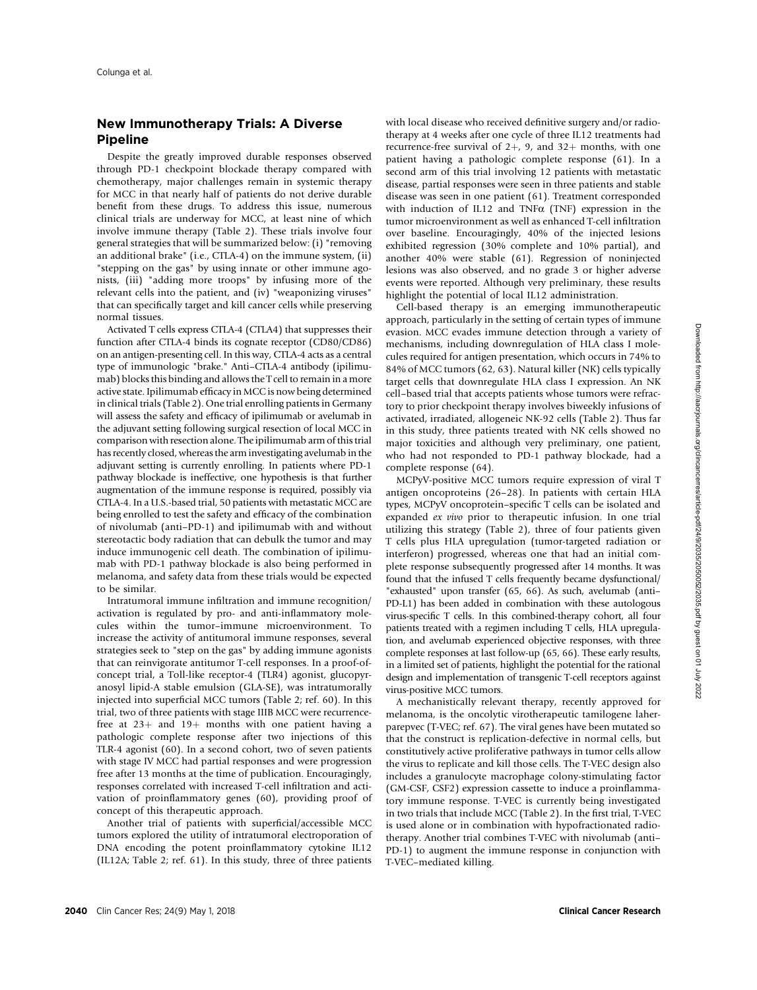## New Immunotherapy Trials: A Diverse Pipeline

Despite the greatly improved durable responses observed through PD-1 checkpoint blockade therapy compared with chemotherapy, major challenges remain in systemic therapy for MCC in that nearly half of patients do not derive durable benefit from these drugs. To address this issue, numerous clinical trials are underway for MCC, at least nine of which involve immune therapy (Table 2). These trials involve four general strategies that will be summarized below: (i) "removing an additional brake" (i.e., CTLA-4) on the immune system, (ii) "stepping on the gas" by using innate or other immune agonists, (iii) "adding more troops" by infusing more of the relevant cells into the patient, and (iv) "weaponizing viruses" that can specifically target and kill cancer cells while preserving normal tissues.

Activated T cells express CTLA-4 (CTLA4) that suppresses their function after CTLA-4 binds its cognate receptor (CD80/CD86) on an antigen-presenting cell. In this way, CTLA-4 acts as a central type of immunologic "brake." Anti–CTLA-4 antibody (ipilimumab) blocks this binding and allows the T cell to remain in a more active state. Ipilimumab efficacy in MCC is now being determined in clinical trials (Table 2). One trial enrolling patients in Germany will assess the safety and efficacy of ipilimumab or avelumab in the adjuvant setting following surgical resection of local MCC in comparison with resection alone. The ipilimumab arm of this trial has recently closed, whereas the arm investigating avelumab in the adjuvant setting is currently enrolling. In patients where PD-1 pathway blockade is ineffective, one hypothesis is that further augmentation of the immune response is required, possibly via CTLA-4. In a U.S.-based trial, 50 patients with metastatic MCC are being enrolled to test the safety and efficacy of the combination of nivolumab (anti–PD-1) and ipilimumab with and without stereotactic body radiation that can debulk the tumor and may induce immunogenic cell death. The combination of ipilimumab with PD-1 pathway blockade is also being performed in melanoma, and safety data from these trials would be expected to be similar.

Intratumoral immune infiltration and immune recognition/ activation is regulated by pro- and anti-inflammatory molecules within the tumor–immune microenvironment. To increase the activity of antitumoral immune responses, several strategies seek to "step on the gas" by adding immune agonists that can reinvigorate antitumor T-cell responses. In a proof-ofconcept trial, a Toll-like receptor-4 (TLR4) agonist, glucopyranosyl lipid-A stable emulsion (GLA-SE), was intratumorally injected into superficial MCC tumors (Table 2; ref. 60). In this trial, two of three patients with stage IIIB MCC were recurrencefree at  $23+$  and  $19+$  months with one patient having a pathologic complete response after two injections of this TLR-4 agonist (60). In a second cohort, two of seven patients with stage IV MCC had partial responses and were progression free after 13 months at the time of publication. Encouragingly, responses correlated with increased T-cell infiltration and activation of proinflammatory genes (60), providing proof of concept of this therapeutic approach.

Another trial of patients with superficial/accessible MCC tumors explored the utility of intratumoral electroporation of DNA encoding the potent proinflammatory cytokine IL12 (IL12A; Table 2; ref. 61). In this study, three of three patients with local disease who received definitive surgery and/or radiotherapy at 4 weeks after one cycle of three IL12 treatments had recurrence-free survival of  $2+$ , 9, and  $32+$  months, with one patient having a pathologic complete response (61). In a second arm of this trial involving 12 patients with metastatic disease, partial responses were seen in three patients and stable disease was seen in one patient (61). Treatment corresponded with induction of IL12 and TNF $\alpha$  (TNF) expression in the tumor microenvironment as well as enhanced T-cell infiltration over baseline. Encouragingly, 40% of the injected lesions exhibited regression (30% complete and 10% partial), and another 40% were stable (61). Regression of noninjected lesions was also observed, and no grade 3 or higher adverse events were reported. Although very preliminary, these results highlight the potential of local IL12 administration.

Cell-based therapy is an emerging immunotherapeutic approach, particularly in the setting of certain types of immune evasion. MCC evades immune detection through a variety of mechanisms, including downregulation of HLA class I molecules required for antigen presentation, which occurs in 74% to 84% of MCC tumors (62, 63). Natural killer (NK) cells typically target cells that downregulate HLA class I expression. An NK cell–based trial that accepts patients whose tumors were refractory to prior checkpoint therapy involves biweekly infusions of activated, irradiated, allogeneic NK-92 cells (Table 2). Thus far in this study, three patients treated with NK cells showed no major toxicities and although very preliminary, one patient, who had not responded to PD-1 pathway blockade, had a complete response (64).

MCPyV-positive MCC tumors require expression of viral T antigen oncoproteins (26–28). In patients with certain HLA types, MCPyV oncoprotein–specific T cells can be isolated and expanded ex vivo prior to therapeutic infusion. In one trial utilizing this strategy (Table 2), three of four patients given T cells plus HLA upregulation (tumor-targeted radiation or interferon) progressed, whereas one that had an initial complete response subsequently progressed after 14 months. It was found that the infused T cells frequently became dysfunctional/ "exhausted" upon transfer (65, 66). As such, avelumab (anti– PD-L1) has been added in combination with these autologous virus-specific T cells. In this combined-therapy cohort, all four patients treated with a regimen including T cells, HLA upregulation, and avelumab experienced objective responses, with three complete responses at last follow-up (65, 66). These early results, in a limited set of patients, highlight the potential for the rational design and implementation of transgenic T-cell receptors against virus-positive MCC tumors.

A mechanistically relevant therapy, recently approved for melanoma, is the oncolytic virotherapeutic tamilogene laherparepvec (T-VEC; ref. 67). The viral genes have been mutated so that the construct is replication-defective in normal cells, but constitutively active proliferative pathways in tumor cells allow the virus to replicate and kill those cells. The T-VEC design also includes a granulocyte macrophage colony-stimulating factor (GM-CSF, CSF2) expression cassette to induce a proinflammatory immune response. T-VEC is currently being investigated in two trials that include MCC (Table 2). In the first trial, T-VEC is used alone or in combination with hypofractionated radiotherapy. Another trial combines T-VEC with nivolumab (anti– PD-1) to augment the immune response in conjunction with T-VEC–mediated killing.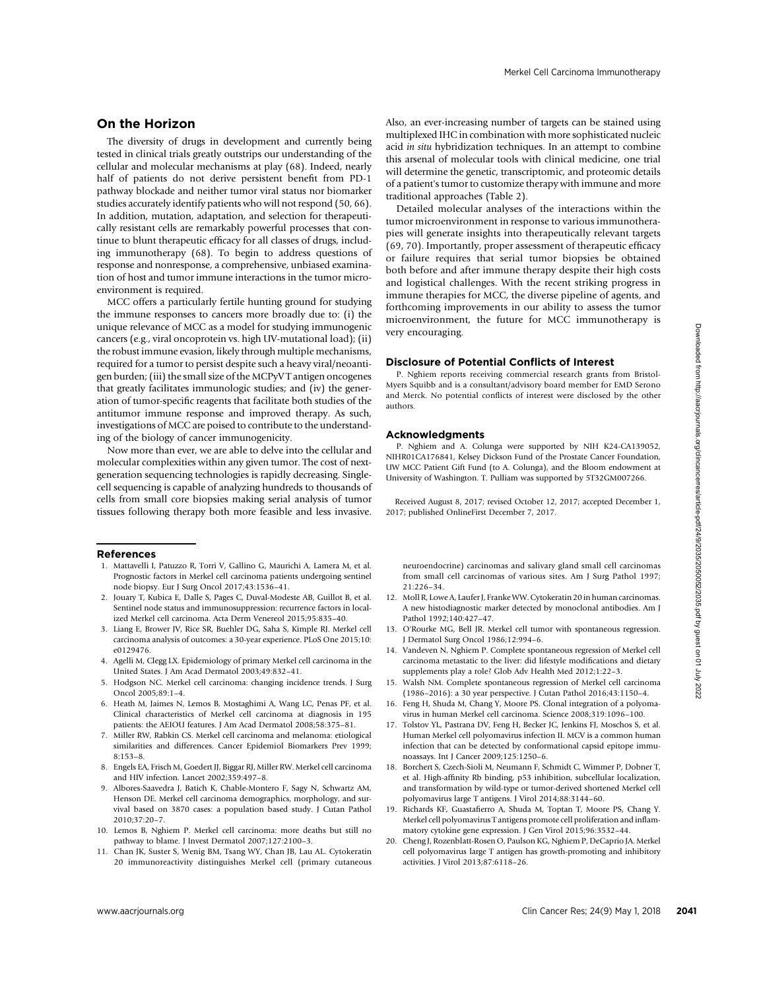## On the Horizon

The diversity of drugs in development and currently being tested in clinical trials greatly outstrips our understanding of the cellular and molecular mechanisms at play (68). Indeed, nearly half of patients do not derive persistent benefit from PD-1 pathway blockade and neither tumor viral status nor biomarker studies accurately identify patients who will not respond (50, 66). In addition, mutation, adaptation, and selection for therapeutically resistant cells are remarkably powerful processes that continue to blunt therapeutic efficacy for all classes of drugs, including immunotherapy (68). To begin to address questions of response and nonresponse, a comprehensive, unbiased examination of host and tumor immune interactions in the tumor microenvironment is required.

MCC offers a particularly fertile hunting ground for studying the immune responses to cancers more broadly due to: (i) the unique relevance of MCC as a model for studying immunogenic cancers (e.g., viral oncoprotein vs. high UV-mutational load); (ii) the robust immune evasion, likely through multiple mechanisms, required for a tumor to persist despite such a heavy viral/neoantigen burden; (iii) the small size of the MCPyV T antigen oncogenes that greatly facilitates immunologic studies; and (iv) the generation of tumor-specific reagents that facilitate both studies of the antitumor immune response and improved therapy. As such, investigations of MCC are poised to contribute to the understanding of the biology of cancer immunogenicity. where relevance of Koley and most brownloaded from https://aacrees.org/clinicancerres/articles-particles-particles-particles-particles-particles-particles-particles-particles-particles-particles-particles-particles-partic

Now more than ever, we are able to delve into the cellular and molecular complexities within any given tumor. The cost of nextgeneration sequencing technologies is rapidly decreasing. Singlecell sequencing is capable of analyzing hundreds to thousands of cells from small core biopsies making serial analysis of tumor tissues following therapy both more feasible and less invasive.

#### References

- 1. Mattavelli I, Patuzzo R, Torri V, Gallino G, Maurichi A, Lamera M, et al. Prognostic factors in Merkel cell carcinoma patients undergoing sentinel node biopsy. Eur J Surg Oncol 2017;43:1536–41.
- 2. Jouary T, Kubica E, Dalle S, Pages C, Duval-Modeste AB, Guillot B, et al. Sentinel node status and immunosuppression: recurrence factors in localized Merkel cell carcinoma. Acta Derm Venereol 2015;95:835–40.
- 3. Liang E, Brower JV, Rice SR, Buehler DG, Saha S, Kimple RJ. Merkel cell carcinoma analysis of outcomes: a 30-year experience. PLoS One 2015;10: e0129476.
- 4. Agelli M, Clegg LX. Epidemiology of primary Merkel cell carcinoma in the United States. J Am Acad Dermatol 2003;49:832–41.
- 5. Hodgson NC. Merkel cell carcinoma: changing incidence trends. J Surg Oncol 2005;89:1–4.
- 6. Heath M, Jaimes N, Lemos B, Mostaghimi A, Wang LC, Penas PF, et al. Clinical characteristics of Merkel cell carcinoma at diagnosis in 195 patients: the AEIOU features. J Am Acad Dermatol 2008;58:375–81.
- 7. Miller RW, Rabkin CS. Merkel cell carcinoma and melanoma: etiological similarities and differences. Cancer Epidemiol Biomarkers Prev 1999; 8:153–8.
- 8. Engels EA, Frisch M, Goedert JJ, Biggar RJ, Miller RW. Merkel cell carcinoma and HIV infection. Lancet 2002;359:497–8.
- 9. Albores-Saavedra J, Batich K, Chable-Montero F, Sagy N, Schwartz AM, Henson DE. Merkel cell carcinoma demographics, morphology, and survival based on 3870 cases: a population based study. J Cutan Pathol 2010;37:20–7.
- 10. Lemos B, Nghiem P. Merkel cell carcinoma: more deaths but still no pathway to blame. J Invest Dermatol 2007;127:2100–3.
- 11. Chan JK, Suster S, Wenig BM, Tsang WY, Chan JB, Lau AL. Cytokeratin 20 immunoreactivity distinguishes Merkel cell (primary cutaneous

Also, an ever-increasing number of targets can be stained using multiplexed IHC in combination with more sophisticated nucleic acid in situ hybridization techniques. In an attempt to combine this arsenal of molecular tools with clinical medicine, one trial will determine the genetic, transcriptomic, and proteomic details of a patient's tumor to customize therapy with immune and more traditional approaches (Table 2).

Detailed molecular analyses of the interactions within the tumor microenvironment in response to various immunotherapies will generate insights into therapeutically relevant targets (69, 70). Importantly, proper assessment of therapeutic efficacy or failure requires that serial tumor biopsies be obtained both before and after immune therapy despite their high costs and logistical challenges. With the recent striking progress in immune therapies for MCC, the diverse pipeline of agents, and forthcoming improvements in our ability to assess the tumor microenvironment, the future for MCC immunotherapy is very encouraging.

#### Disclosure of Potential Conflicts of Interest

P. Nghiem reports receiving commercial research grants from Bristol-Myers Squibb and is a consultant/advisory board member for EMD Serono and Merck. No potential conflicts of interest were disclosed by the other authors.

#### Acknowledgments

P. Nghiem and A. Colunga were supported by NIH K24-CA139052, NIHR01CA176841, Kelsey Dickson Fund of the Prostate Cancer Foundation, UW MCC Patient Gift Fund (to A. Colunga), and the Bloom endowment at University of Washington. T. Pulliam was supported by 5T32GM007266.

Received August 8, 2017; revised October 12, 2017; accepted December 1, 2017; published OnlineFirst December 7, 2017.

neuroendocrine) carcinomas and salivary gland small cell carcinomas from small cell carcinomas of various sites. Am J Surg Pathol 1997; 21:226–34.

- 12. Moll R, Lowe A, Laufer J, Franke WW. Cytokeratin 20 in human carcinomas. A new histodiagnostic marker detected by monoclonal antibodies. Am J Pathol 1992;140:427–47.
- 13. O'Rourke MG, Bell JR. Merkel cell tumor with spontaneous regression. J Dermatol Surg Oncol 1986;12:994–6.
- 14. Vandeven N, Nghiem P. Complete spontaneous regression of Merkel cell carcinoma metastatic to the liver: did lifestyle modifications and dietary supplements play a role? Glob Adv Health Med 2012;1:22–3.
- 15. Walsh NM. Complete spontaneous regression of Merkel cell carcinoma (1986–2016): a 30 year perspective. J Cutan Pathol 2016;43:1150–4.
- 16. Feng H, Shuda M, Chang Y, Moore PS. Clonal integration of a polyomavirus in human Merkel cell carcinoma. Science 2008;319:1096–100.
- 17. Tolstov YL, Pastrana DV, Feng H, Becker JC, Jenkins FJ, Moschos S, et al. Human Merkel cell polyomavirus infection II. MCV is a common human infection that can be detected by conformational capsid epitope immunoassays. Int J Cancer 2009;125:1250–6.
- 18. Borchert S, Czech-Sioli M, Neumann F, Schmidt C, Wimmer P, Dobner T, et al. High-affinity Rb binding, p53 inhibition, subcellular localization, and transformation by wild-type or tumor-derived shortened Merkel cell polyomavirus large T antigens. J Virol 2014;88:3144–60.
- 19. Richards KF, Guastafierro A, Shuda M, Toptan T, Moore PS, Chang Y. Merkel cell polyomavirus T antigens promote cell proliferation and inflammatory cytokine gene expression. J Gen Virol 2015;96:3532–44.
- 20. Cheng J, Rozenblatt-Rosen O, Paulson KG, Nghiem P, DeCaprio JA. Merkel cell polyomavirus large T antigen has growth-promoting and inhibitory activities. J Virol 2013;87:6118–26.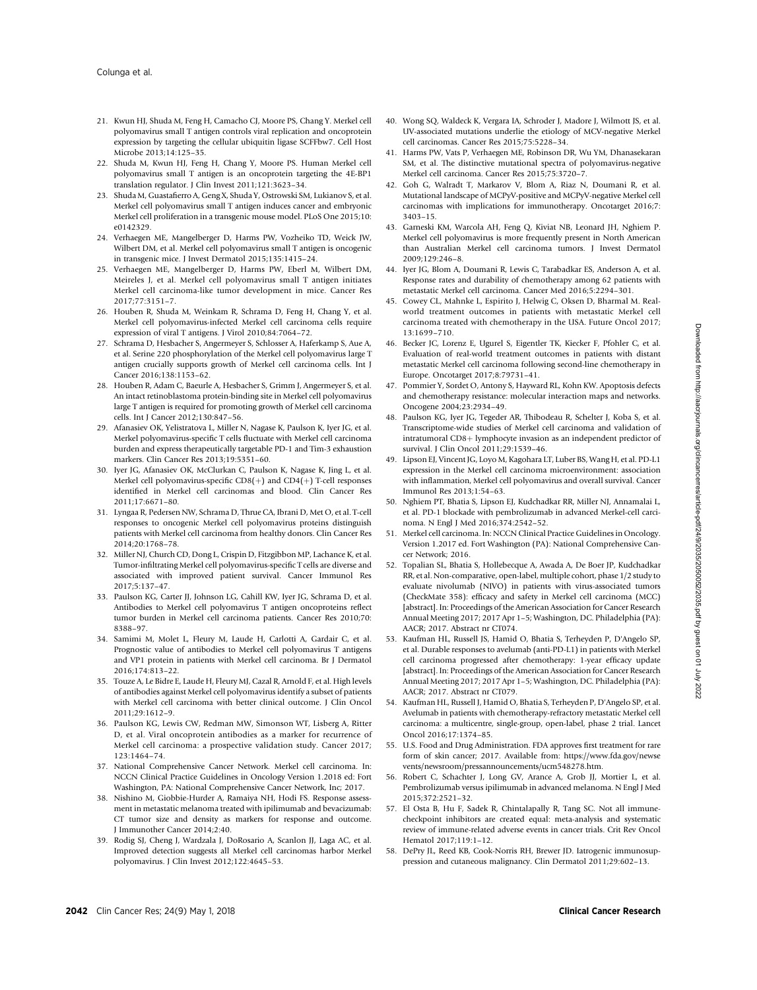- 21. Kwun HJ, Shuda M, Feng H, Camacho CJ, Moore PS, Chang Y. Merkel cell polyomavirus small T antigen controls viral replication and oncoprotein expression by targeting the cellular ubiquitin ligase SCFFbw7. Cell Host Microbe 2013;14:125–35.
- 22. Shuda M, Kwun HJ, Feng H, Chang Y, Moore PS. Human Merkel cell polyomavirus small T antigen is an oncoprotein targeting the 4E-BP1 translation regulator. J Clin Invest 2011;121:3623–34.
- 23. Shuda M, Guastafierro A, Geng X, Shuda Y, Ostrowski SM, Lukianov S, et al. Merkel cell polyomavirus small T antigen induces cancer and embryonic Merkel cell proliferation in a transgenic mouse model. PLoS One 2015;10: e0142329.
- 24. Verhaegen ME, Mangelberger D, Harms PW, Vozheiko TD, Weick JW, Wilbert DM, et al. Merkel cell polyomavirus small T antigen is oncogenic in transgenic mice. J Invest Dermatol 2015;135:1415–24.
- 25. Verhaegen ME, Mangelberger D, Harms PW, Eberl M, Wilbert DM, Meireles J, et al. Merkel cell polyomavirus small T antigen initiates Merkel cell carcinoma-like tumor development in mice. Cancer Res 2017;77:3151–7.
- 26. Houben R, Shuda M, Weinkam R, Schrama D, Feng H, Chang Y, et al. Merkel cell polyomavirus-infected Merkel cell carcinoma cells require expression of viral T antigens. J Virol 2010;84:7064–72.
- 27. Schrama D, Hesbacher S, Angermeyer S, Schlosser A, Haferkamp S, Aue A, et al. Serine 220 phosphorylation of the Merkel cell polyomavirus large T antigen crucially supports growth of Merkel cell carcinoma cells. Int J Cancer 2016;138:1153–62.
- 28. Houben R, Adam C, Baeurle A, Hesbacher S, Grimm J, Angermeyer S, et al. An intact retinoblastoma protein-binding site in Merkel cell polyomavirus large T antigen is required for promoting growth of Merkel cell carcinoma cells. Int J Cancer 2012;130:847–56.
- 29. Afanasiev OK, Yelistratova L, Miller N, Nagase K, Paulson K, Iyer JG, et al. Merkel polyomavirus-specific T cells fluctuate with Merkel cell carcinoma burden and express therapeutically targetable PD-1 and Tim-3 exhaustion markers. Clin Cancer Res 2013;19:5351–60.
- 30. Iyer JG, Afanasiev OK, McClurkan C, Paulson K, Nagase K, Jing L, et al. Merkel cell polyomavirus-specific  $CD8(+)$  and  $CD4(+)$  T-cell responses identified in Merkel cell carcinomas and blood. Clin Cancer Res 2011;17:6671–80.
- 31. Lyngaa R, Pedersen NW, Schrama D, Thrue CA, Ibrani D, Met O, et al. T-cell responses to oncogenic Merkel cell polyomavirus proteins distinguish patients with Merkel cell carcinoma from healthy donors. Clin Cancer Res 2014;20:1768–78.
- 32. Miller NJ, Church CD, Dong L, Crispin D, Fitzgibbon MP, Lachance K, et al. Tumor-infiltrating Merkel cell polyomavirus-specific T cells are diverse and associated with improved patient survival. Cancer Immunol Res 2017;5:137–47.
- 33. Paulson KG, Carter JJ, Johnson LG, Cahill KW, Iyer JG, Schrama D, et al. Antibodies to Merkel cell polyomavirus T antigen oncoproteins reflect tumor burden in Merkel cell carcinoma patients. Cancer Res 2010;70: 8388–97.
- 34. Samimi M, Molet L, Fleury M, Laude H, Carlotti A, Gardair C, et al. Prognostic value of antibodies to Merkel cell polyomavirus T antigens and VP1 protein in patients with Merkel cell carcinoma. Br J Dermatol 2016;174:813–22.
- 35. Touze A, Le Bidre E, Laude H, Fleury MJ, Cazal R, Arnold F, et al. High levels of antibodies against Merkel cell polyomavirus identify a subset of patients with Merkel cell carcinoma with better clinical outcome. J Clin Oncol 2011;29:1612–9.
- 36. Paulson KG, Lewis CW, Redman MW, Simonson WT, Lisberg A, Ritter D, et al. Viral oncoprotein antibodies as a marker for recurrence of Merkel cell carcinoma: a prospective validation study. Cancer 2017; 123:1464–74.
- 37. National Comprehensive Cancer Network. Merkel cell carcinoma. In: NCCN Clinical Practice Guidelines in Oncology Version 1.2018 ed: Fort Washington, PA: National Comprehensive Cancer Network, Inc; 2017.
- 38. Nishino M, Giobbie-Hurder A, Ramaiya NH, Hodi FS. Response assessment in metastatic melanoma treated with ipilimumab and bevacizumab: CT tumor size and density as markers for response and outcome. J Immunother Cancer 2014;2:40.
- 39. Rodig SJ, Cheng J, Wardzala J, DoRosario A, Scanlon JJ, Laga AC, et al. Improved detection suggests all Merkel cell carcinomas harbor Merkel polyomavirus. J Clin Invest 2012;122:4645–53.
- 40. Wong SQ, Waldeck K, Vergara IA, Schroder J, Madore J, Wilmott JS, et al. UV-associated mutations underlie the etiology of MCV-negative Merkel cell carcinomas. Cancer Res 2015;75:5228–34.
- 41. Harms PW, Vats P, Verhaegen ME, Robinson DR, Wu YM, Dhanasekaran SM, et al. The distinctive mutational spectra of polyomavirus-negative Merkel cell carcinoma. Cancer Res 2015;75:3720–7.
- 42. Goh G, Walradt T, Markarov V, Blom A, Riaz N, Doumani R, et al. Mutational landscape of MCPyV-positive and MCPyV-negative Merkel cell carcinomas with implications for immunotherapy. Oncotarget 2016;7: 3403–15.
- 43. Garneski KM, Warcola AH, Feng Q, Kiviat NB, Leonard JH, Nghiem P. Merkel cell polyomavirus is more frequently present in North American than Australian Merkel cell carcinoma tumors. J Invest Dermatol 2009;129:246–8.
- 44. Iyer JG, Blom A, Doumani R, Lewis C, Tarabadkar ES, Anderson A, et al. Response rates and durability of chemotherapy among 62 patients with metastatic Merkel cell carcinoma. Cancer Med 2016;5:2294–301.
- 45. Cowey CL, Mahnke L, Espirito J, Helwig C, Oksen D, Bharmal M. Realworld treatment outcomes in patients with metastatic Merkel cell carcinoma treated with chemotherapy in the USA. Future Oncol 2017; 13:1699–710.
- 46. Becker JC, Lorenz E, Ugurel S, Eigentler TK, Kiecker F, Pfohler C, et al. Evaluation of real-world treatment outcomes in patients with distant metastatic Merkel cell carcinoma following second-line chemotherapy in Europe. Oncotarget 2017;8:79731–41.
- 47. Pommier Y, Sordet O, Antony S, Hayward RL, Kohn KW. Apoptosis defects and chemotherapy resistance: molecular interaction maps and networks. Oncogene 2004;23:2934–49.
- 48. Paulson KG, Iyer JG, Tegeder AR, Thibodeau R, Schelter J, Koba S, et al. Transcriptome-wide studies of Merkel cell carcinoma and validation of intratumoral CD8+ lymphocyte invasion as an independent predictor of survival. J Clin Oncol 2011;29:1539–46.
- 49. Lipson EJ, Vincent JG, Loyo M, Kagohara LT, Luber BS, Wang H, et al. PD-L1 expression in the Merkel cell carcinoma microenvironment: association with inflammation, Merkel cell polyomavirus and overall survival. Cancer Immunol Res 2013;1:54–63.
- 50. Nghiem PT, Bhatia S, Lipson EJ, Kudchadkar RR, Miller NJ, Annamalai L, et al. PD-1 blockade with pembrolizumab in advanced Merkel-cell carcinoma. N Engl J Med 2016;374:2542–52.
- 51. Merkel cell carcinoma. In: NCCN Clinical Practice Guidelines in Oncology. Version 1.2017 ed. Fort Washington (PA): National Comprehensive Cancer Network; 2016.
- 52. Topalian SL, Bhatia S, Hollebecque A, Awada A, De Boer JP, Kudchadkar RR, et al. Non-comparative, open-label, multiple cohort, phase 1/2 study to evaluate nivolumab (NIVO) in patients with virus-associated tumors (CheckMate 358): efficacy and safety in Merkel cell carcinoma (MCC) [abstract]. In: Proceedings of the American Association for Cancer Research Annual Meeting 2017; 2017 Apr 1–5; Washington, DC. Philadelphia (PA): AACR; 2017. Abstract nr CT074.
- 53. Kaufman HL, Russell JS, Hamid O, Bhatia S, Terheyden P, D'Angelo SP, et al. Durable responses to avelumab (anti-PD-L1) in patients with Merkel cell carcinoma progressed after chemotherapy: 1-year efficacy update [abstract]. In: Proceedings of the American Association for Cancer Research Annual Meeting 2017; 2017 Apr 1–5; Washington, DC. Philadelphia (PA): AACR; 2017. Abstract nr CT079.
- 54. Kaufman HL, Russell J, Hamid O, Bhatia S, Terheyden P, D'Angelo SP, et al. Avelumab in patients with chemotherapy-refractory metastatic Merkel cell carcinoma: a multicentre, single-group, open-label, phase 2 trial. Lancet Oncol 2016;17:1374–85.
- 55. U.S. Food and Drug Administration. FDA approves first treatment for rare form of skin cancer; 2017. Available from: [https://www.fda.gov/newse](https://www.fda.gov/newsevents/newsroom/pressannouncements/ucm548278.htm) [vents/newsroom/pressannouncements/ucm548278.htm.](https://www.fda.gov/newsevents/newsroom/pressannouncements/ucm548278.htm)
- 56. Robert C, Schachter J, Long GV, Arance A, Grob JJ, Mortier L, et al. Pembrolizumab versus ipilimumab in advanced melanoma. N Engl J Med 2015;372:2521–32.
- 57. El Osta B, Hu F, Sadek R, Chintalapally R, Tang SC. Not all immunecheckpoint inhibitors are created equal: meta-analysis and systematic review of immune-related adverse events in cancer trials. Crit Rev Oncol Hematol 2017;119:1–12.
- DePry JL, Reed KB, Cook-Norris RH, Brewer JD. Iatrogenic immunosuppression and cutaneous malignancy. Clin Dermatol 2011;29:602–13.